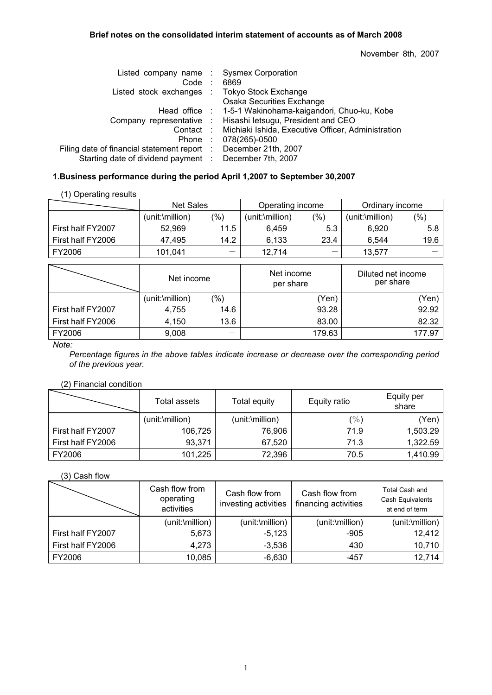## **Brief notes on the consolidated interim statement of accounts as of March 2008**

November 8th, 2007

| Listed company name:                        | <b>Sysmex Corporation</b>                          |
|---------------------------------------------|----------------------------------------------------|
|                                             | 6869                                               |
|                                             | <b>Tokyo Stock Exchange</b>                        |
|                                             | Osaka Securities Exchange                          |
|                                             | 1-5-1 Wakinohama-kaigandori, Chuo-ku, Kobe         |
| Company representative :                    | Hisashi letsugu, President and CEO                 |
| Contact:                                    | Michiaki Ishida, Executive Officer, Administration |
|                                             | 078(265)-0500                                      |
| Filing date of financial statement report : | December 21th, 2007                                |
| Starting date of dividend payment :         | December 7th, 2007                                 |
|                                             | Listed stock exchanges :<br>Head office :          |

# **1.Business performance during the period April 1,2007 to September 30,2007**

|                   | Net Sales       |               | Operating income |         | Ordinary income         |      |
|-------------------|-----------------|---------------|------------------|---------|-------------------------|------|
|                   | (unit:\million) | $\frac{9}{6}$ | (unit:\million)  | $(\% )$ | $(unit:\text{million})$ | (%)  |
| First half FY2007 | 52.969          | 11.5          | 6.459            | 5.3     | 6.920                   | 5.8  |
| First half FY2006 | 47.495          | 14.2          | 6.133            | 23.4    | 6.544                   | 19.6 |
| FY2006            | 101.041         |               | 12.714           | —       | 13.577                  |      |

|                   | Net income      |        | Net income<br>per share | Diluted net income<br>per share |  |
|-------------------|-----------------|--------|-------------------------|---------------------------------|--|
|                   | (unit:\million) | $(\%)$ | (Yen)                   | 'Yen)                           |  |
| First half FY2007 | 4,755           | 14.6   | 93.28                   | 92.92                           |  |
| First half FY2006 | 4,150           | 13.6   | 83.00                   | 82.32                           |  |
| FY2006            | 9,008           |        | 179.63                  | 177.97                          |  |

*Note:* 

*Percentage figures in the above tables indicate increase or decrease over the corresponding period of the previous year.*

# (2) Financial condition

|                   | Total assets    | Total equity    | Equity ratio | Equity per<br>share |
|-------------------|-----------------|-----------------|--------------|---------------------|
|                   | (unit:\million) | (unit:\million) | (%)          | Yen)                |
| First half FY2007 | 106,725         | 76,906          | 71.9         | 1,503.29            |
| First half FY2006 | 93,371          | 67,520          | 71.3         | 1,322.59            |
| FY2006            | 101,225         | 72,396          | 70.5         | 1,410.99            |

(3) Cash flow

|                   | Cash flow from<br>operating<br>activities | Cash flow from<br>investing activities | Cash flow from<br>financing activities | <b>Total Cash and</b><br>Cash Equivalents<br>at end of term |
|-------------------|-------------------------------------------|----------------------------------------|----------------------------------------|-------------------------------------------------------------|
|                   | (unit:\million)                           | (unit:\million)                        | (unit:\million)                        | (unit:\million)                                             |
| First half FY2007 | 5,673                                     | $-5,123$                               | $-905$                                 | 12,412                                                      |
| First half FY2006 | 4,273                                     | $-3,536$                               | 430                                    | 10,710                                                      |
| FY2006            | 10,085                                    | $-6,630$                               | $-457$                                 | 12,714                                                      |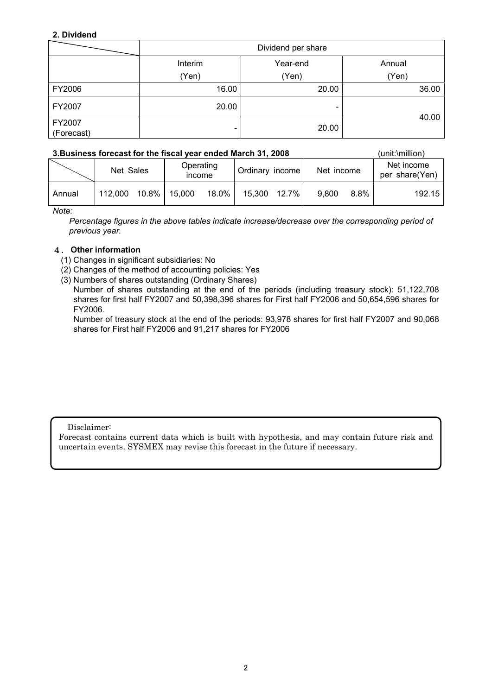# **2. Dividend**

|                      |                          | Dividend per share |        |  |  |  |  |
|----------------------|--------------------------|--------------------|--------|--|--|--|--|
|                      | Interim                  | Year-end           | Annual |  |  |  |  |
|                      | (Yen)                    | (Yen)              | (Yen)  |  |  |  |  |
| FY2006               | 16.00                    | 20.00              | 36.00  |  |  |  |  |
| FY2007               | 20.00                    | -                  | 40.00  |  |  |  |  |
| FY2007<br>(Forecast) | $\overline{\phantom{0}}$ | 20.00              |        |  |  |  |  |

# **3.Business forecast for the fiscal year ended March 31, 2008** (unit:\million)

| Operating<br>Net Sales<br>Ordinary income<br>income             |  |  |  |  |  |  |  |            |         |                              |
|-----------------------------------------------------------------|--|--|--|--|--|--|--|------------|---------|------------------------------|
|                                                                 |  |  |  |  |  |  |  | Net income |         | Net income<br>per share(Yen) |
| 15,300 12.7%<br>10.8% l<br>18.0%<br>15,000<br>112,000<br>Annual |  |  |  |  |  |  |  | 9.800      | $8.8\%$ | 192.15                       |

*Note:* 

*Percentage figures in the above tables indicate increase/decrease over the corresponding period of previous year.* 

### 4. **Other information**

- (1) Changes in significant subsidiaries: No
- (2) Changes of the method of accounting policies: Yes
- (3) Numbers of shares outstanding (Ordinary Shares)
- Number of shares outstanding at the end of the periods (including treasury stock): 51,122,708 shares for first half FY2007 and 50,398,396 shares for First half FY2006 and 50,654,596 shares for FY2006.

Number of treasury stock at the end of the periods: 93,978 shares for first half FY2007 and 90,068 shares for First half FY2006 and 91,217 shares for FY2006

Disclaimer:

Forecast contains current data which is built with hypothesis, and may contain future risk and uncertain events. SYSMEX may revise this forecast in the future if necessary.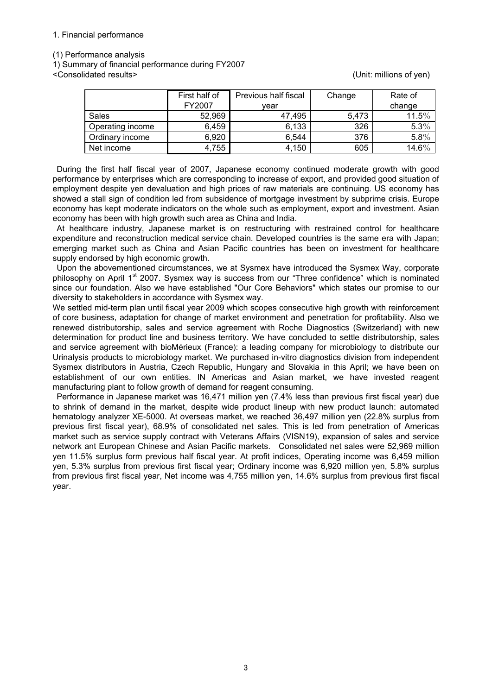### 1. Financial performance

(1) Performance analysis

1) Summary of financial performance during FY2007

<Consolidated results> (Unit: millions of yen)

|                  | First half of<br>FY2007 | Previous half fiscal<br>vear | Change | Rate of<br>change |
|------------------|-------------------------|------------------------------|--------|-------------------|
| Sales            | 52,969                  | 47.495                       | 5,473  | 11.5%             |
| Operating income | 6,459                   | 6,133                        | 326    | 5.3%              |
| Ordinary income  | 6,920                   | 6,544                        | 376    | 5.8%              |
| Net income       | 4,755                   | 4,150                        | 605    | $14.6\%$          |

During the first half fiscal year of 2007, Japanese economy continued moderate growth with good performance by enterprises which are corresponding to increase of export, and provided good situation of employment despite yen devaluation and high prices of raw materials are continuing. US economy has showed a stall sign of condition led from subsidence of mortgage investment by subprime crisis. Europe economy has kept moderate indicators on the whole such as employment, export and investment. Asian economy has been with high growth such area as China and India.

At healthcare industry, Japanese market is on restructuring with restrained control for healthcare expenditure and reconstruction medical service chain. Developed countries is the same era with Japan; emerging market such as China and Asian Pacific countries has been on investment for healthcare supply endorsed by high economic growth.

Upon the abovementioned circumstances, we at Sysmex have introduced the Sysmex Way, corporate philosophy on April 1<sup>st</sup> 2007. Sysmex way is success from our "Three confidence" which is nominated since our foundation. Also we have established "Our Core Behaviors" which states our promise to our diversity to stakeholders in accordance with Sysmex way.

We settled mid-term plan until fiscal year 2009 which scopes consecutive high growth with reinforcement of core business, adaptation for change of market environment and penetration for profitability. Also we renewed distributorship, sales and service agreement with Roche Diagnostics (Switzerland) with new determination for product line and business territory. We have concluded to settle distributorship, sales and service agreement with bioMérieux (France): a leading company for microbiology to distribute our Urinalysis products to microbiology market. We purchased in-vitro diagnostics division from independent Sysmex distributors in Austria, Czech Republic, Hungary and Slovakia in this April; we have been on establishment of our own entities. IN Americas and Asian market, we have invested reagent manufacturing plant to follow growth of demand for reagent consuming.

Performance in Japanese market was 16,471 million yen (7.4% less than previous first fiscal year) due to shrink of demand in the market, despite wide product lineup with new product launch: automated hematology analyzer XE-5000. At overseas market, we reached 36,497 million yen (22.8% surplus from previous first fiscal year), 68.9% of consolidated net sales. This is led from penetration of Americas market such as service supply contract with Veterans Affairs (VISN19), expansion of sales and service network ant European Chinese and Asian Pacific markets. Consolidated net sales were 52,969 million yen 11.5% surplus form previous half fiscal year. At profit indices, Operating income was 6,459 million yen, 5.3% surplus from previous first fiscal year; Ordinary income was 6,920 million yen, 5.8% surplus from previous first fiscal year, Net income was 4,755 million yen, 14.6% surplus from previous first fiscal year.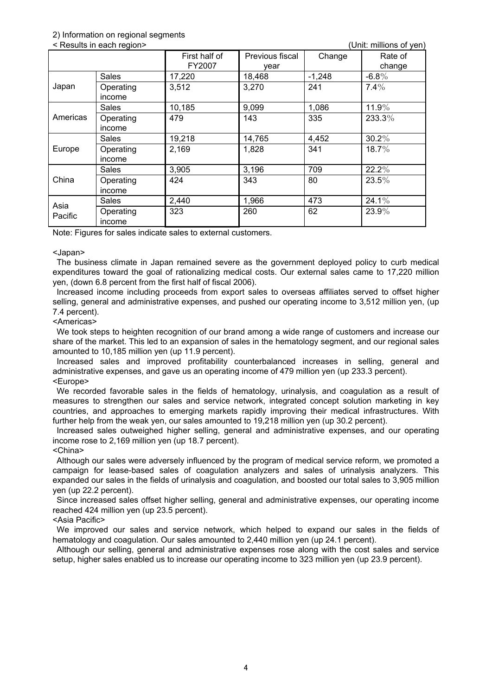### 2) Information on regional segments

< Results in each region> (Unit: millions of yen)

|          | i woodito in caon region p<br>$\mathsf{v}$ ni. Milio 110 VI yun |                         |                         |          |                   |  |  |
|----------|-----------------------------------------------------------------|-------------------------|-------------------------|----------|-------------------|--|--|
|          |                                                                 | First half of<br>FY2007 | Previous fiscal<br>year | Change   | Rate of<br>change |  |  |
|          | Sales                                                           | 17,220                  | 18,468                  | $-1,248$ | $-6.8\%$          |  |  |
| Japan    | Operating<br>income                                             | 3,512                   | 3,270                   | 241      | $7.4\%$           |  |  |
|          | Sales                                                           | 10,185                  | 9,099                   | 1,086    | $11.9\%$          |  |  |
| Americas | Operating<br>income                                             | 479                     | 143                     | 335      | 233.3%            |  |  |
|          | <b>Sales</b>                                                    | 19,218                  | 14,765                  | 4,452    | $30.2\%$          |  |  |
| Europe   | Operating<br>income                                             | 2,169                   | 1,828                   | 341      | $18.7\%$          |  |  |
|          | Sales                                                           | 3,905                   | 3,196                   | 709      | 22.2%             |  |  |
| China    | Operating<br>income                                             | 424                     | 343                     | 80       | $23.5\%$          |  |  |
| Asia     | Sales                                                           | 2,440                   | 1,966                   | 473      | $24.1\%$          |  |  |
| Pacific  | Operating<br>income                                             | 323                     | 260                     | 62       | 23.9%             |  |  |

Note: Figures for sales indicate sales to external customers.

#### <Japan>

The business climate in Japan remained severe as the government deployed policy to curb medical expenditures toward the goal of rationalizing medical costs. Our external sales came to 17,220 million yen, (down 6.8 percent from the first half of fiscal 2006).

Increased income including proceeds from export sales to overseas affiliates served to offset higher selling, general and administrative expenses, and pushed our operating income to 3,512 million yen, (up 7.4 percent).

#### <Americas>

We took steps to heighten recognition of our brand among a wide range of customers and increase our share of the market. This led to an expansion of sales in the hematology segment, and our regional sales amounted to 10,185 million yen (up 11.9 percent).

Increased sales and improved profitability counterbalanced increases in selling, general and administrative expenses, and gave us an operating income of 479 million yen (up 233.3 percent). <Europe>

We recorded favorable sales in the fields of hematology, urinalysis, and coagulation as a result of measures to strengthen our sales and service network, integrated concept solution marketing in key countries, and approaches to emerging markets rapidly improving their medical infrastructures. With further help from the weak yen, our sales amounted to 19,218 million yen (up 30.2 percent).

Increased sales outweighed higher selling, general and administrative expenses, and our operating income rose to 2,169 million yen (up 18.7 percent).

### <China>

Although our sales were adversely influenced by the program of medical service reform, we promoted a campaign for lease-based sales of coagulation analyzers and sales of urinalysis analyzers. This expanded our sales in the fields of urinalysis and coagulation, and boosted our total sales to 3,905 million yen (up 22.2 percent).

Since increased sales offset higher selling, general and administrative expenses, our operating income reached 424 million yen (up 23.5 percent).

## <Asia Pacific>

We improved our sales and service network, which helped to expand our sales in the fields of hematology and coagulation. Our sales amounted to 2,440 million yen (up 24.1 percent).

Although our selling, general and administrative expenses rose along with the cost sales and service setup, higher sales enabled us to increase our operating income to 323 million yen (up 23.9 percent).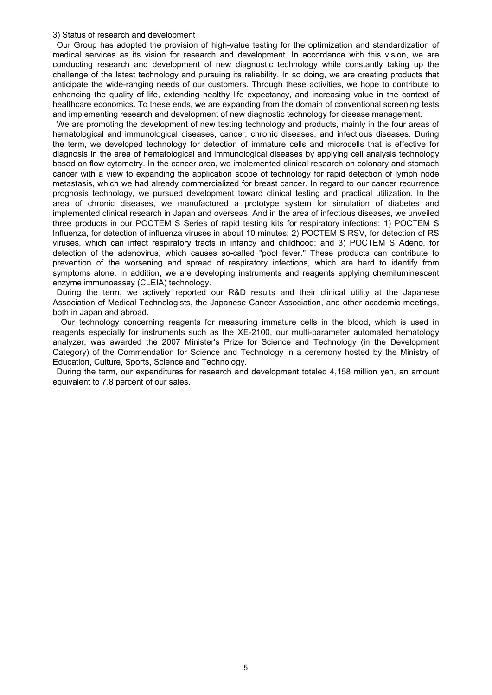#### 3) Status of research and development

Our Group has adopted the provision of high-value testing for the optimization and standardization of medical services as its vision for research and development. In accordance with this vision, we are conducting research and development of new diagnostic technology while constantly taking up the challenge of the latest technology and pursuing its reliability. In so doing, we are creating products that anticipate the wide-ranging needs of our customers. Through these activities, we hope to contribute to enhancing the quality of life, extending healthy life expectancy, and increasing value in the context of healthcare economics. To these ends, we are expanding from the domain of conventional screening tests and implementing research and development of new diagnostic technology for disease management.

We are promoting the development of new testing technology and products, mainly in the four areas of hematological and immunological diseases, cancer, chronic diseases, and infectious diseases. During the term, we developed technology for detection of immature cells and microcells that is effective for diagnosis in the area of hematological and immunological diseases by applying cell analysis technology based on flow cytometry. In the cancer area, we implemented clinical research on colonary and stomach cancer with a view to expanding the application scope of technology for rapid detection of lymph node metastasis, which we had already commercialized for breast cancer. In regard to our cancer recurrence prognosis technology, we pursued development toward clinical testing and practical utilization. In the area of chronic diseases, we manufactured a prototype system for simulation of diabetes and implemented clinical research in Japan and overseas. And in the area of infectious diseases, we unveiled three products in our POCTEM S Series of rapid testing kits for respiratory infections: 1) POCTEM S Influenza, for detection of influenza viruses in about 10 minutes; 2) POCTEM S RSV, for detection of RS viruses, which can infect respiratory tracts in infancy and childhood; and 3) POCTEM S Adeno, for detection of the adenovirus, which causes so-called "pool fever." These products can contribute to prevention of the worsening and spread of respiratory infections, which are hard to identify from symptoms alone. In addition, we are developing instruments and reagents applying chemiluminescent enzyme immunoassay (CLEIA) technology.

During the term, we actively reported our R&D results and their clinical utility at the Japanese Association of Medical Technologists, the Japanese Cancer Association, and other academic meetings, both in Japan and abroad.

Our technology concerning reagents for measuring immature cells in the blood, which is used in reagents especially for instruments such as the XE-2100, our multi-parameter automated hematology analyzer, was awarded the 2007 Minister's Prize for Science and Technology (in the Development Category) of the Commendation for Science and Technology in a ceremony hosted by the Ministry of Education, Culture, Sports, Science and Technology.

During the term, our expenditures for research and development totaled 4,158 million yen, an amount equivalent to 7.8 percent of our sales.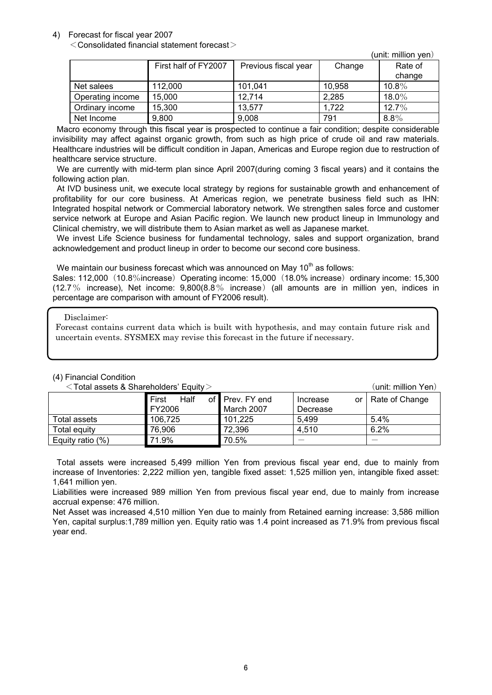## 4) Forecast for fiscal year 2007

 $<$  Consolidated financial statement forecast $>$ 

|                  |                      |                      |        | (unit: million yen) |
|------------------|----------------------|----------------------|--------|---------------------|
|                  | First half of FY2007 | Previous fiscal year | Change | Rate of             |
|                  |                      |                      |        | change              |
| Net salees       | 112,000              | 101,041              | 10,958 | $10.8\%$            |
| Operating income | 15,000               | 12,714               | 2,285  | $18.0\%$            |
| Ordinary income  | 15,300               | 13,577               | 1,722  | $12.7\%$            |
| Net Income       | 9,800                | 9,008                | 791    | $8.8\%$             |

Macro economy through this fiscal year is prospected to continue a fair condition; despite considerable invisibility may affect against organic growth, from such as high price of crude oil and raw materials. Healthcare industries will be difficult condition in Japan, Americas and Europe region due to restruction of healthcare service structure.

We are currently with mid-term plan since April 2007(during coming 3 fiscal years) and it contains the following action plan.

At IVD business unit, we execute local strategy by regions for sustainable growth and enhancement of profitability for our core business. At Americas region, we penetrate business field such as IHN: Integrated hospital network or Commercial laboratory network. We strengthen sales force and customer service network at Europe and Asian Pacific region. We launch new product lineup in Immunology and Clinical chemistry, we will distribute them to Asian market as well as Japanese market.

We invest Life Science business for fundamental technology, sales and support organization, brand acknowledgement and product lineup in order to become our second core business.

We maintain our business forecast which was announced on May  $10<sup>th</sup>$  as follows:

Sales: 112,000 (10.8%increase) Operating income: 15,000 (18.0% increase) ordinary income: 15,300 (12.7% increase), Net income:  $9,800(8.8\%$  increase) (all amounts are in million yen, indices in percentage are comparison with amount of FY2006 result).

Disclaimer:

Forecast contains current data which is built with hypothesis, and may contain future risk and uncertain events. SYSMEX may revise this forecast in the future if necessary.

# (4) Financial Condition

 First Half of FY2006 Prev. FY end March 2007 Increase or Decrease Rate of Change Total assets 106,725 101,225 5,499 5.4% Total equity 76,906 72,396 4,510 6.2% Equity ratio (%) 71.9% 70.5%

<Total assets & Shareholders' Equity> (unit: million Yen)

Total assets were increased 5,499 million Yen from previous fiscal year end, due to mainly from increase of Inventories: 2,222 million yen, tangible fixed asset: 1,525 million yen, intangible fixed asset: 1,641 million yen.

Liabilities were increased 989 million Yen from previous fiscal year end, due to mainly from increase accrual expense: 476 million.

Net Asset was increased 4,510 million Yen due to mainly from Retained earning increase: 3,586 million Yen, capital surplus:1,789 million yen. Equity ratio was 1.4 point increased as 71.9% from previous fiscal year end.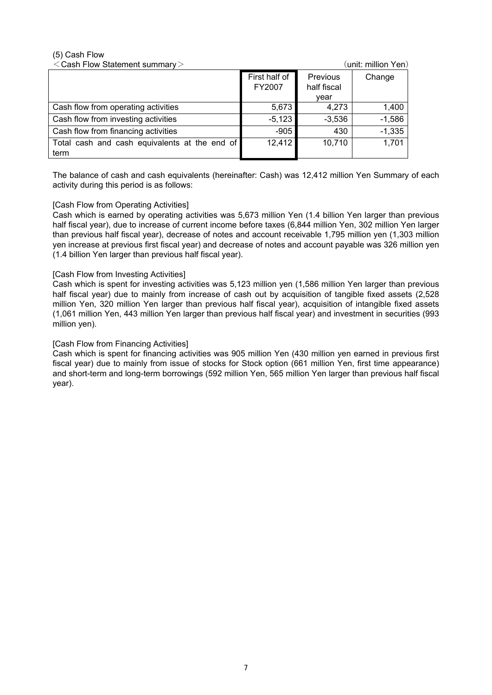# (5) Cash Flow

| $<$ Cash Flow Statement summary $>$                   |                         |                                 | (unit: million Yen) |
|-------------------------------------------------------|-------------------------|---------------------------------|---------------------|
|                                                       | First half of<br>FY2007 | Previous<br>half fiscal<br>vear | Change              |
| Cash flow from operating activities                   | 5,673                   | 4,273                           | 1,400               |
| Cash flow from investing activities                   | $-5,123$                | $-3,536$                        | $-1,586$            |
| Cash flow from financing activities                   | $-905$                  | 430                             | $-1,335$            |
| Total cash and cash equivalents at the end of<br>term | 12,412                  | 10,710                          | 1,701               |

The balance of cash and cash equivalents (hereinafter: Cash) was 12,412 million Yen Summary of each activity during this period is as follows:

# [Cash Flow from Operating Activities]

Cash which is earned by operating activities was 5,673 million Yen (1.4 billion Yen larger than previous half fiscal year), due to increase of current income before taxes (6,844 million Yen, 302 million Yen larger than previous half fiscal year), decrease of notes and account receivable 1,795 million yen (1,303 million yen increase at previous first fiscal year) and decrease of notes and account payable was 326 million yen (1.4 billion Yen larger than previous half fiscal year).

### [Cash Flow from Investing Activities]

Cash which is spent for investing activities was 5,123 million yen (1,586 million Yen larger than previous half fiscal year) due to mainly from increase of cash out by acquisition of tangible fixed assets (2,528 million Yen, 320 million Yen larger than previous half fiscal year), acquisition of intangible fixed assets (1,061 million Yen, 443 million Yen larger than previous half fiscal year) and investment in securities (993 million yen).

### [Cash Flow from Financing Activities]

Cash which is spent for financing activities was 905 million Yen (430 million yen earned in previous first fiscal year) due to mainly from issue of stocks for Stock option (661 million Yen, first time appearance) and short-term and long-term borrowings (592 million Yen, 565 million Yen larger than previous half fiscal year).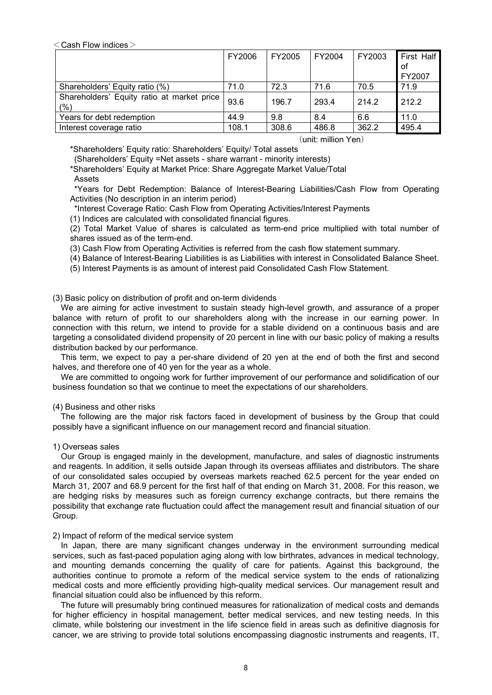$<$  Cash Flow indices  $>$ 

|                                                   | FY2006 | FY2005 | FY2004 | FY2003 | First Half |
|---------------------------------------------------|--------|--------|--------|--------|------------|
|                                                   |        |        |        |        | οf         |
|                                                   |        |        |        |        | FY2007     |
| Shareholders' Equity ratio (%)                    | 71.0   | 72.3   | 71.6   | 70.5   | 71.9       |
| Shareholders' Equity ratio at market price<br>(%) | 93.6   | 196.7  | 293.4  | 214.2  | 212.2      |
| Years for debt redemption                         | 44.9   | 9.8    | 8.4    | 6.6    | 11.0       |
| Interest coverage ratio                           | 108.1  | 308.6  | 486.8  | 362.2  | 495.4      |

#### (unit: million Yen)

\*Shareholders' Equity ratio: Shareholders' Equity/ Total assets

(Shareholders' Equity =Net assets - share warrant - minority interests)

\*Shareholders' Equity at Market Price: Share Aggregate Market Value/Total

**Assets** 

 \*Years for Debt Redemption: Balance of Interest-Bearing Liabilities/Cash Flow from Operating Activities (No description in an interim period)

\*Interest Coverage Ratio: Cash Flow from Operating Activities/Interest Payments

(1) Indices are calculated with consolidated financial figures.

(2) Total Market Value of shares is calculated as term-end price multiplied with total number of shares issued as of the term-end.

(3) Cash Flow from Operating Activities is referred from the cash flow statement summary.

(4) Balance of Interest-Bearing Liabilities is as Liabilities with interest in Consolidated Balance Sheet.

(5) Interest Payments is as amount of interest paid Consolidated Cash Flow Statement.

(3) Basic policy on distribution of profit and on-term dividends

We are aiming for active investment to sustain steady high-level growth, and assurance of a proper balance with return of profit to our shareholders along with the increase in our earning power. In connection with this return, we intend to provide for a stable dividend on a continuous basis and are targeting a consolidated dividend propensity of 20 percent in line with our basic policy of making a results distribution backed by our performance.

This term, we expect to pay a per-share dividend of 20 yen at the end of both the first and second halves, and therefore one of 40 yen for the year as a whole.

We are committed to ongoing work for further improvement of our performance and solidification of our business foundation so that we continue to meet the expectations of our shareholders.

# (4) Business and other risks

The following are the major risk factors faced in development of business by the Group that could possibly have a significant influence on our management record and financial situation.

1) Overseas sales

Our Group is engaged mainly in the development, manufacture, and sales of diagnostic instruments and reagents. In addition, it sells outside Japan through its overseas affiliates and distributors. The share of our consolidated sales occupied by overseas markets reached 62.5 percent for the year ended on March 31, 2007 and 68.9 percent for the first half of that ending on March 31, 2008. For this reason, we are hedging risks by measures such as foreign currency exchange contracts, but there remains the possibility that exchange rate fluctuation could affect the management result and financial situation of our Group.

#### 2) Impact of reform of the medical service system

In Japan, there are many significant changes underway in the environment surrounding medical services, such as fast-paced population aging along with low birthrates, advances in medical technology, and mounting demands concerning the quality of care for patients. Against this background, the authorities continue to promote a reform of the medical service system to the ends of rationalizing medical costs and more efficiently providing high-quality medical services. Our management result and financial situation could also be influenced by this reform.

The future will presumably bring continued measures for rationalization of medical costs and demands for higher efficiency in hospital management, better medical services, and new testing needs. In this climate, while bolstering our investment in the life science field in areas such as definitive diagnosis for cancer, we are striving to provide total solutions encompassing diagnostic instruments and reagents, IT,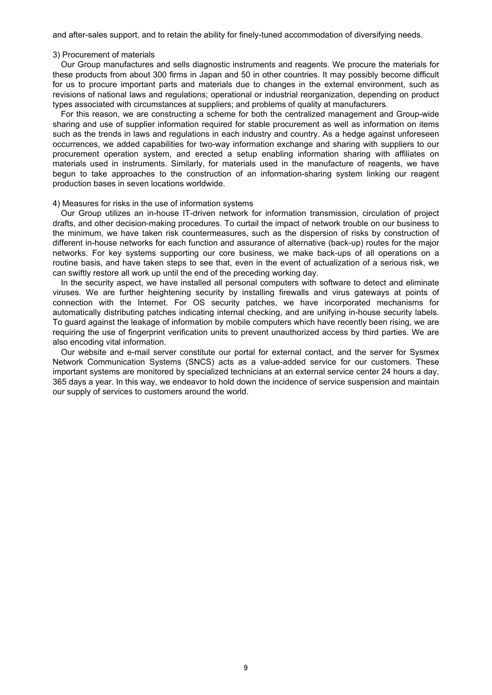and after-sales support, and to retain the ability for finely-tuned accommodation of diversifying needs.

#### 3) Procurement of materials

Our Group manufactures and sells diagnostic instruments and reagents. We procure the materials for these products from about 300 firms in Japan and 50 in other countries. It may possibly become difficult for us to procure important parts and materials due to changes in the external environment, such as revisions of national laws and regulations; operational or industrial reorganization, depending on product types associated with circumstances at suppliers; and problems of quality at manufacturers.

For this reason, we are constructing a scheme for both the centralized management and Group-wide sharing and use of supplier information required for stable procurement as well as information on items such as the trends in laws and regulations in each industry and country. As a hedge against unforeseen occurrences, we added capabilities for two-way information exchange and sharing with suppliers to our procurement operation system, and erected a setup enabling information sharing with affiliates on materials used in instruments. Similarly, for materials used in the manufacture of reagents, we have begun to take approaches to the construction of an information-sharing system linking our reagent production bases in seven locations worldwide.

#### 4) Measures for risks in the use of information systems

Our Group utilizes an in-house IT-driven network for information transmission, circulation of project drafts, and other decision-making procedures. To curtail the impact of network trouble on our business to the minimum, we have taken risk countermeasures, such as the dispersion of risks by construction of different in-house networks for each function and assurance of alternative (back-up) routes for the major networks. For key systems supporting our core business, we make back-ups of all operations on a routine basis, and have taken steps to see that, even in the event of actualization of a serious risk, we can swiftly restore all work up until the end of the preceding working day.

In the security aspect, we have installed all personal computers with software to detect and eliminate viruses. We are further heightening security by installing firewalls and virus gateways at points of connection with the Internet. For OS security patches, we have incorporated mechanisms for automatically distributing patches indicating internal checking, and are unifying in-house security labels. To guard against the leakage of information by mobile computers which have recently been rising, we are requiring the use of fingerprint verification units to prevent unauthorized access by third parties. We are also encoding vital information.

Our website and e-mail server constitute our portal for external contact, and the server for Sysmex Network Communication Systems (SNCS) acts as a value-added service for our customers. These important systems are monitored by specialized technicians at an external service center 24 hours a day, 365 days a year. In this way, we endeavor to hold down the incidence of service suspension and maintain our supply of services to customers around the world.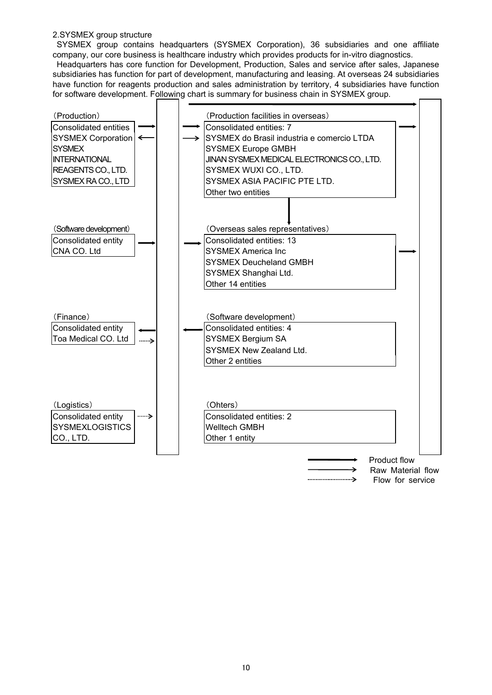# 2.SYSMEX group structure

SYSMEX group contains headquarters (SYSMEX Corporation), 36 subsidiaries and one affiliate company, our core business is healthcare industry which provides products for in-vitro diagnostics.

Headquarters has core function for Development, Production, Sales and service after sales, Japanese subsidiaries has function for part of development, manufacturing and leasing. At overseas 24 subsidiaries have function for reagents production and sales administration by territory, 4 subsidiaries have function for software development. Following chart is summary for business chain in SYSMEX group.

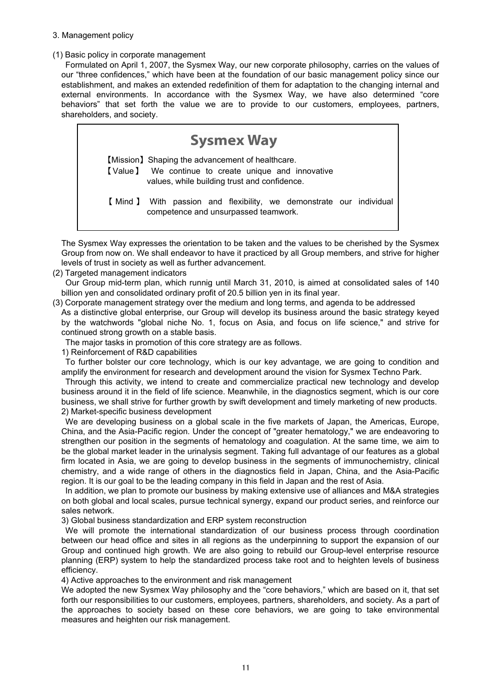# 3. Management policy

(1) Basic policy in corporate management

Formulated on April 1, 2007, the Sysmex Way, our new corporate philosophy, carries on the values of our "three confidences," which have been at the foundation of our basic management policy since our establishment, and makes an extended redefinition of them for adaptation to the changing internal and external environments. In accordance with the Sysmex Way, we have also determined "core behaviors" that set forth the value we are to provide to our customers, employees, partners, shareholders, and society.



The Sysmex Way expresses the orientation to be taken and the values to be cherished by the Sysmex Group from now on. We shall endeavor to have it practiced by all Group members, and strive for higher levels of trust in society as well as further advancement.

(2) Targeted management indicators

Our Group mid-term plan, which runnig until March 31, 2010, is aimed at consolidated sales of 140 billion yen and consolidated ordinary profit of 20.5 billion yen in its final year.

(3) Corporate management strategy over the medium and long terms, and agenda to be addressed As a distinctive global enterprise, our Group will develop its business around the basic strategy keyed by the watchwords "global niche No. 1, focus on Asia, and focus on life science," and strive for continued strong growth on a stable basis.

The major tasks in promotion of this core strategy are as follows.

1) Reinforcement of R&D capabilities

To further bolster our core technology, which is our key advantage, we are going to condition and amplify the environment for research and development around the vision for Sysmex Techno Park.

Through this activity, we intend to create and commercialize practical new technology and develop business around it in the field of life science. Meanwhile, in the diagnostics segment, which is our core business, we shall strive for further growth by swift development and timely marketing of new products. 2) Market-specific business development

We are developing business on a global scale in the five markets of Japan, the Americas, Europe, China, and the Asia-Pacific region. Under the concept of "greater hematology," we are endeavoring to strengthen our position in the segments of hematology and coagulation. At the same time, we aim to be the global market leader in the urinalysis segment. Taking full advantage of our features as a global firm located in Asia, we are going to develop business in the segments of immunochemistry, clinical chemistry, and a wide range of others in the diagnostics field in Japan, China, and the Asia-Pacific region. It is our goal to be the leading company in this field in Japan and the rest of Asia.

In addition, we plan to promote our business by making extensive use of alliances and M&A strategies on both global and local scales, pursue technical synergy, expand our product series, and reinforce our sales network.

3) Global business standardization and ERP system reconstruction

We will promote the international standardization of our business process through coordination between our head office and sites in all regions as the underpinning to support the expansion of our Group and continued high growth. We are also going to rebuild our Group-level enterprise resource planning (ERP) system to help the standardized process take root and to heighten levels of business efficiency.

4) Active approaches to the environment and risk management

We adopted the new Sysmex Way philosophy and the "core behaviors," which are based on it, that set forth our responsibilities to our customers, employees, partners, shareholders, and society. As a part of the approaches to society based on these core behaviors, we are going to take environmental measures and heighten our risk management.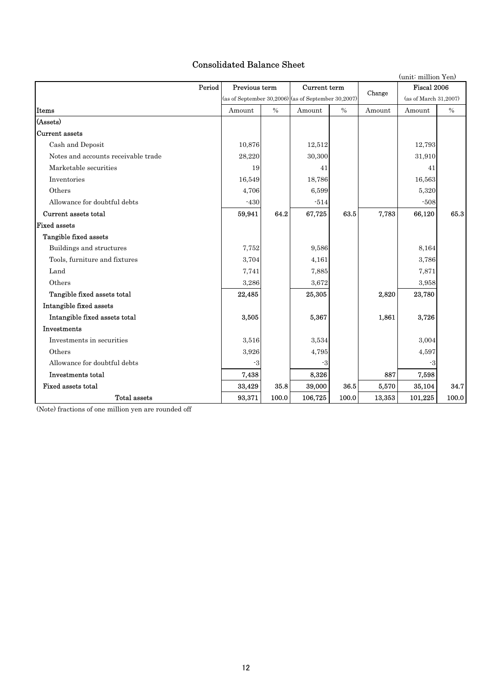# Consolidated Balance Sheet

|                                     |                                                       |       |              |       |        | (unit: million Yen)   |       |
|-------------------------------------|-------------------------------------------------------|-------|--------------|-------|--------|-----------------------|-------|
| Period                              | Previous term                                         |       | Current term |       | Change | Fiscal 2006           |       |
|                                     | (as of September 30, 2006) (as of September 30, 2007) |       |              |       |        | (as of March 31,2007) |       |
| Items                               | Amount                                                | $\%$  | Amount       | $\%$  | Amount | Amount                | $\%$  |
| (Assets)                            |                                                       |       |              |       |        |                       |       |
| Current assets                      |                                                       |       |              |       |        |                       |       |
| Cash and Deposit                    | 10,876                                                |       | 12,512       |       |        | 12,793                |       |
| Notes and accounts receivable trade | 28,220                                                |       | 30,300       |       |        | 31,910                |       |
| Marketable securities               | 19                                                    |       | 41           |       |        | 41                    |       |
| Inventories                         | 16,549                                                |       | 18,786       |       |        | 16,563                |       |
| Others                              | 4,706                                                 |       | 6,599        |       |        | 5.320                 |       |
| Allowance for doubtful debts        | $-430$                                                |       | $-514$       |       |        | $-508$                |       |
| Current assets total                | 59,941                                                | 64.2  | 67,725       | 63.5  | 7,783  | 66,120                | 65.3  |
| <b>Fixed assets</b>                 |                                                       |       |              |       |        |                       |       |
| Tangible fixed assets               |                                                       |       |              |       |        |                       |       |
| Buildings and structures            | 7,752                                                 |       | 9,586        |       |        | 8,164                 |       |
| Tools, furniture and fixtures       | 3,704                                                 |       | 4,161        |       |        | 3,786                 |       |
| Land                                | 7,741                                                 |       | 7,885        |       |        | 7,871                 |       |
| Others                              | 3,286                                                 |       | 3,672        |       |        | 3,958                 |       |
| Tangible fixed assets total         | 22,485                                                |       | 25,305       |       | 2,820  | 23,780                |       |
| Intangible fixed assets             |                                                       |       |              |       |        |                       |       |
| Intangible fixed assets total       | 3,505                                                 |       | 5,367        |       | 1,861  | 3,726                 |       |
| <b>Investments</b>                  |                                                       |       |              |       |        |                       |       |
| Investments in securities           | 3,516                                                 |       | 3,534        |       |        | 3,004                 |       |
| Others                              | 3,926                                                 |       | 4,795        |       |        | 4,597                 |       |
| Allowance for doubtful debts        | $-3$                                                  |       | -3           |       |        | -3                    |       |
| Investments total                   | 7,438                                                 |       | 8,326        |       | 887    | 7,598                 |       |
| Fixed assets total                  | 33,429                                                | 35.8  | 39,000       | 36.5  | 5,570  | 35,104                | 34.7  |
| Total assets                        | 93,371                                                | 100.0 | 106,725      | 100.0 | 13,353 | 101,225               | 100.0 |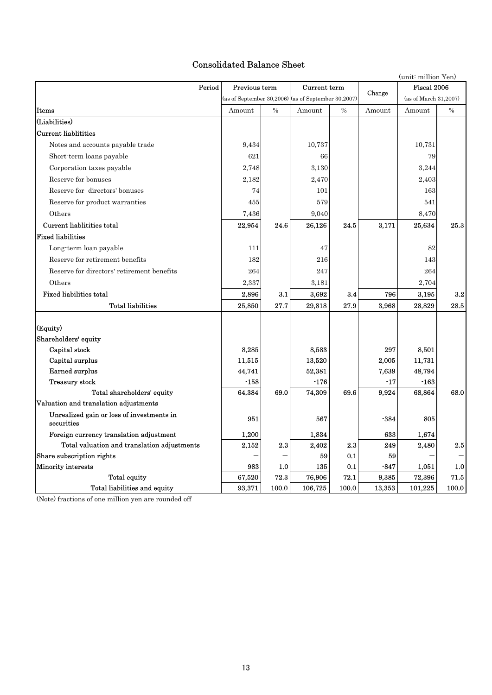# Consolidated Balance Sheet

|                                                         |                                                       |               |              |       |        | (unit: million Yen)   |       |
|---------------------------------------------------------|-------------------------------------------------------|---------------|--------------|-------|--------|-----------------------|-------|
| Period                                                  | Previous term                                         |               | Current term |       | Change | Fiscal 2006           |       |
|                                                         | (as of September 30, 2006) (as of September 30, 2007) |               |              |       |        | (as of March 31,2007) |       |
| <b>Items</b>                                            | Amount                                                | $\frac{0}{0}$ | Amount       | $\%$  | Amount | Amount                | $\%$  |
| (Liabilities)                                           |                                                       |               |              |       |        |                       |       |
| <b>Current liablitities</b>                             |                                                       |               |              |       |        |                       |       |
| Notes and accounts payable trade                        | 9,434                                                 |               | 10,737       |       |        | 10,731                |       |
| Short-term loans payable                                | 621                                                   |               | 66           |       |        | 79                    |       |
| Corporation taxes payable                               | 2,748                                                 |               | 3,130        |       |        | 3,244                 |       |
| Reserve for bonuses                                     | 2,182                                                 |               | 2,470        |       |        | 2,403                 |       |
| Reserve for directors' bonuses                          | 74                                                    |               | 101          |       |        | 163                   |       |
| Reserve for product warranties                          | 455                                                   |               | 579          |       |        | 541                   |       |
| Others                                                  | 7,436                                                 |               | 9,040        |       |        | 8,470                 |       |
| Current liablitities total                              | 22,954                                                | 24.6          | 26,126       | 24.5  | 3.171  | 25,634                | 25.3  |
| <b>Fixed liabilities</b>                                |                                                       |               |              |       |        |                       |       |
| Long-term loan payable                                  | 111                                                   |               | 47           |       |        | 82                    |       |
| Reserve for retirement benefits                         | 182                                                   |               | 216          |       |        | 143                   |       |
| Reserve for directors' retirement benefits              | 264                                                   |               | 247          |       |        | 264                   |       |
| Others                                                  | 2,337                                                 |               | 3,181        |       |        | 2,704                 |       |
| <b>Fixed liabilities total</b>                          | 2,896                                                 | 3.1           | 3,692        | 3.4   | 796    | 3,195                 | 3.2   |
| <b>Total liabilities</b>                                | 25,850                                                | 27.7          | 29,818       | 27.9  | 3,968  | 28,829                | 28.5  |
|                                                         |                                                       |               |              |       |        |                       |       |
| (Equity)                                                |                                                       |               |              |       |        |                       |       |
| Shareholders' equity                                    |                                                       |               |              |       |        |                       |       |
| Capital stock                                           | 8,285                                                 |               | 8,583        |       | 297    | 8,501                 |       |
| Capital surplus                                         | 11,515                                                |               | 13,520       |       | 2,005  | 11,731                |       |
| Earned surplus                                          | 44,741                                                |               | 52,381       |       | 7,639  | 48,794                |       |
| <b>Treasury stock</b>                                   | $-158$                                                |               | $-176$       |       | $-17$  | $-163$                |       |
| Total shareholders' equity                              | 64,384                                                | 69.0          | 74,309       | 69.6  | 9,924  | 68,864                | 68.0  |
| Valuation and translation adjustments                   |                                                       |               |              |       |        |                       |       |
| Unrealized gain or loss of investments in<br>securities | 951                                                   |               | 567          |       | -384   | 805                   |       |
| Foreign currency translation adjustment                 | 1,200                                                 |               | 1,834        |       | 633    | 1,674                 |       |
| Total valuation and translation adjustments             | 2,152                                                 | 2.3           | 2,402        | 2.3   | 249    | 2,480                 | 2.5   |
| Share subscription rights                               |                                                       |               | 59           | 0.1   | 59     |                       |       |
| Minority interests                                      | 983                                                   | 1.0           | 135          | 0.1   | $-847$ | 1,051                 | 1.0   |
| <b>Total equity</b>                                     | 67,520                                                | 72.3          | 76,906       | 72.1  | 9,385  | 72,396                | 71.5  |
| Total liabilities and equity                            | 93,371                                                | 100.0         | 106,725      | 100.0 | 13,353 | 101,225               | 100.0 |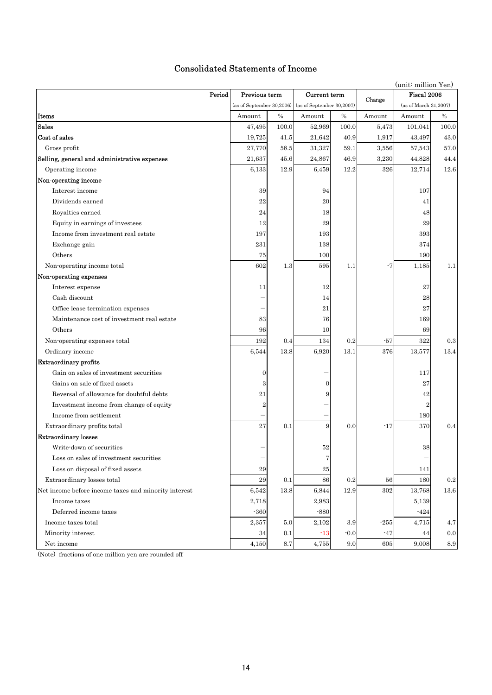# Consolidated Statements of Income

|                                                      |                  |         |                                                       |         | (unit: million Yen) |                       |            |  |
|------------------------------------------------------|------------------|---------|-------------------------------------------------------|---------|---------------------|-----------------------|------------|--|
| Period                                               | Previous term    |         | Current term                                          |         | Change              | Fiscal 2006           |            |  |
|                                                      |                  |         | (as of September 30, 2006) (as of September 30, 2007) |         |                     | (as of March 31,2007) |            |  |
| Items                                                | Amount           | $\%$    | Amount                                                | $\%$    | Amount              | Amount                | $\%$       |  |
| Sales                                                | 47,495           | 100.0   | 52,969                                                | 100.0   | 5,473               | 101,041               | 100.0      |  |
| Cost of sales                                        | 19,725           | 41.5    | 21,642                                                | 40.9    | 1,917               | 43,497                | 43.0       |  |
| Gross profit                                         | 27,770           | 58.5    | 31,327                                                | 59.1    | 3,556               | 57,543                | 57.0       |  |
| Selling, general and administrative expenses         | 21,637           | 45.6    | 24,867                                                | 46.9    | 3,230               | 44,828                | 44.4       |  |
| Operating income                                     | 6,133            | 12.9    | 6,459                                                 | 12.2    | 326                 | 12,714                | 12.6       |  |
| Non-operating income                                 |                  |         |                                                       |         |                     |                       |            |  |
| Interest income                                      | 39               |         | 94                                                    |         |                     | 107                   |            |  |
| Dividends earned                                     | 22               |         | 20                                                    |         |                     | 41                    |            |  |
| Royalties earned                                     | 24               |         | 18                                                    |         |                     | 48                    |            |  |
| Equity in earnings of investees                      | 12               |         | 29                                                    |         |                     | 29                    |            |  |
| Income from investment real estate                   | 197              |         | 193                                                   |         |                     | 393                   |            |  |
| Exchange gain                                        | 231              |         | 138                                                   |         |                     | 374                   |            |  |
| Others                                               | 75               |         | 100                                                   |         |                     | 190                   |            |  |
| Non-operating income total                           | 602              | 1.3     | 595                                                   | 1.1     | -7                  | 1,185                 | 1.1        |  |
| Non-operating expenses                               |                  |         |                                                       |         |                     |                       |            |  |
| Interest expense                                     | 11               |         | 12                                                    |         |                     | 27                    |            |  |
| Cash discount                                        |                  |         | 14                                                    |         |                     | 28                    |            |  |
| Office lease termination expenses                    |                  |         | 21                                                    |         |                     | 27                    |            |  |
| Maintenance cost of investment real estate           | 83               |         | 76                                                    |         |                     | 169                   |            |  |
| Others                                               | 96               |         | 10                                                    |         |                     | 69                    |            |  |
| Non-operating expenses total                         | 192              | 0.4     | 134                                                   | 0.2     | $-57$               | 322                   | 0.3        |  |
| Ordinary income                                      | 6,544            | 13.8    | 6,920                                                 | 13.1    | 376                 | 13,577                | 13.4       |  |
| <b>Extraordinary profits</b>                         |                  |         |                                                       |         |                     |                       |            |  |
| Gain on sales of investment securities               | $\boldsymbol{0}$ |         |                                                       |         |                     | 117                   |            |  |
| Gains on sale of fixed assets                        | 3                |         | $\mathbf{0}$                                          |         |                     | 27                    |            |  |
| Reversal of allowance for doubtful debts             | 21               |         | 9                                                     |         |                     | 42                    |            |  |
| Investment income from change of equity              | $\overline{2}$   |         |                                                       |         |                     | $\overline{2}$        |            |  |
| Income from settlement                               |                  |         |                                                       |         |                     | 180                   |            |  |
| Extraordinary profits total                          | 27               | 0.1     | 9                                                     | 0.0     | $-17$               | 370                   | 0.4        |  |
| <b>Extraordinary losses</b>                          |                  |         |                                                       |         |                     |                       |            |  |
| Write-down of securities                             |                  |         | 52                                                    |         |                     | 38                    |            |  |
| Loss on sales of investment securities               |                  |         | 7                                                     |         |                     |                       |            |  |
| Loss on disposal of fixed assets                     | $\rm 29$         |         | 25                                                    |         |                     | 141                   |            |  |
| Extraordinary losses total                           | 29               | 0.1     | 86                                                    | 0.2     | 56                  | 180                   | $\rm 0.2$  |  |
| Net income before income taxes and minority interest | 6,542            | 13.8    | 6,844                                                 | 12.9    | 302                 | 13,768                | 13.6       |  |
| Income taxes                                         | 2,718            |         | 2,983                                                 |         |                     | 5,139                 |            |  |
| Deferred income taxes                                | $-360$           |         | $-880$                                                |         |                     | $-424$                |            |  |
| Income taxes total                                   | 2,357            | 5.0     | 2,102                                                 | 3.9     | $-255$              | 4,715                 | 4.7        |  |
| Minority interest                                    | 34               | 0.1     | $-13$                                                 | $-0.0$  | -47                 | 44                    | 0.0        |  |
| Net income                                           | 4,150            | $8.7\,$ | 4,755                                                 | $9.0\,$ | 605                 | 9,008                 | $\ \, 8.9$ |  |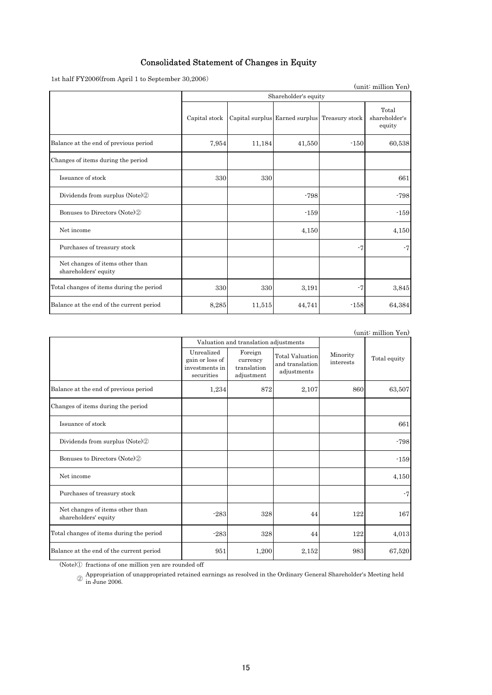# Consolidated Statement of Changes in Equity

1st half FY2006(from April 1 to September 30,2006)

| (unit: million Yen)                                     |               |        |                                               |        |                                  |  |  |  |  |  |
|---------------------------------------------------------|---------------|--------|-----------------------------------------------|--------|----------------------------------|--|--|--|--|--|
|                                                         |               |        | Shareholder's equity                          |        |                                  |  |  |  |  |  |
|                                                         | Capital stock |        | Capital surplus Earned surplus Treasury stock |        | Total<br>shareholder's<br>equity |  |  |  |  |  |
| Balance at the end of previous period                   | 7,954         | 11,184 | 41,550                                        | $-150$ | 60,538                           |  |  |  |  |  |
| Changes of items during the period                      |               |        |                                               |        |                                  |  |  |  |  |  |
| Issuance of stock                                       | 330           | 330    |                                               |        | 661                              |  |  |  |  |  |
| Dividends from surplus (Note) <sup>2</sup>              |               |        | $-798$                                        |        | $-798$                           |  |  |  |  |  |
| Bonuses to Directors (Note) <sup>(2)</sup>              |               |        | $-159$                                        |        | $-159$                           |  |  |  |  |  |
| Net income                                              |               |        | 4,150                                         |        | 4,150                            |  |  |  |  |  |
| Purchases of treasury stock                             |               |        |                                               | $-7$   | $-7$                             |  |  |  |  |  |
| Net changes of items other than<br>shareholders' equity |               |        |                                               |        |                                  |  |  |  |  |  |
| Total changes of items during the period                | 330           | 330    | 3,191                                         | $-7$   | 3,845                            |  |  |  |  |  |
| Balance at the end of the current period                | 8,285         | 11,515 | 44,741                                        | $-158$ | 64,384                           |  |  |  |  |  |

|                                                         |                                                               |                                                  |                                                          |                       | (unit: million Yen) |
|---------------------------------------------------------|---------------------------------------------------------------|--------------------------------------------------|----------------------------------------------------------|-----------------------|---------------------|
|                                                         |                                                               | Valuation and translation adjustments            |                                                          |                       |                     |
|                                                         | Unrealized<br>gain or loss of<br>investments in<br>securities | Foreign<br>currency<br>translation<br>adjustment | <b>Total Valuation</b><br>and translation<br>adjustments | Minority<br>interests | Total equity        |
| Balance at the end of previous period                   | 1,234                                                         | 872                                              | 2,107                                                    | 860                   | 63,507              |
| Changes of items during the period                      |                                                               |                                                  |                                                          |                       |                     |
| Issuance of stock                                       |                                                               |                                                  |                                                          |                       | 661                 |
| Dividends from surplus (Note) <sup>2</sup>              |                                                               |                                                  |                                                          |                       | $-798$              |
| Bonuses to Directors (Note) <sup>(2)</sup>              |                                                               |                                                  |                                                          |                       | $-159$              |
| Net income                                              |                                                               |                                                  |                                                          |                       | 4,150               |
| Purchases of treasury stock                             |                                                               |                                                  |                                                          |                       | $-7$                |
| Net changes of items other than<br>shareholders' equity | $-283$                                                        | 328                                              | 44                                                       | 122                   | 167                 |
| Total changes of items during the period                | $-283$                                                        | 328                                              | 44                                                       | 122                   | 4,013               |
| Balance at the end of the current period                | 951                                                           | 1,200                                            | 2,152                                                    | 983                   | 67,520              |

(Note)① fractions of one million yen are rounded off

<sup>2</sup> Appropriation of unappropriated retained earnings as resolved in the Ordinary General Shareholder's Meeting held in June 2006.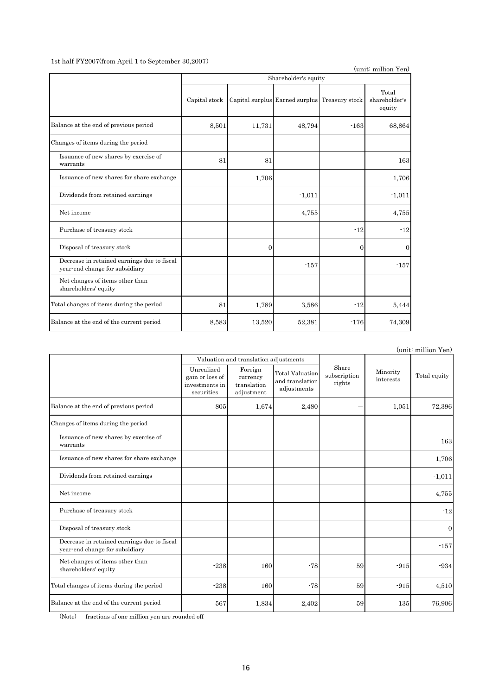#### 1st half FY2007(from April 1 to September 30,2007)

(unit: million Yen)

| Capital stock |          |                |          | Total<br>shareholder's<br>equity              |
|---------------|----------|----------------|----------|-----------------------------------------------|
|               | 11,731   | 48,794         | $-163$   | 68.864                                        |
|               |          |                |          |                                               |
| 81            | 81       |                |          | 163                                           |
|               | 1,706    |                |          | 1,706                                         |
|               |          | $-1,011$       |          | $-1,011$                                      |
|               |          | 4,755          |          | 4,755                                         |
|               |          |                | $-12$    | $-12$                                         |
|               | $\Omega$ |                | $\theta$ | $\Omega$                                      |
|               |          | $-157$         |          | $-157$                                        |
|               |          |                |          |                                               |
| 81            | 1,789    | 3,586          | $-12$    | 5,444                                         |
|               | 13,520   | 52,381         | $-176$   | 74,309                                        |
|               |          | 8,501<br>8,583 |          | Capital surplus Earned surplus Treasury stock |

(unit: million Yen) 805 1,674 2,480 - 1,051 72,396 163 1,706 -1,011 4,755 -12 0 -157  $-238$  160  $-78$  59  $-915$   $-934$  $-238$  160  $-78$  59  $-915$  4,510 567 1,834 2,402 59 135 76,906 Balance at the end of previous period Changes of items during the period Issuance of new shares by exercise of warrants Valuation and translation adjustments Minority Minority<br>interests Total equity Unrealized gain or loss of investments in securities Foreign currency translation adjustment Total Valuation and translation adjustments Share subscription rights Issuance of new shares for share exchange Purchase of treasury stock Disposal of treasury stock Net changes of items other than shareholders' equity Decrease in retained earnings due to fiscal year-end change for subsidiary Dividends from retained earnings Net income Balance at the end of the current period Total changes of items during the period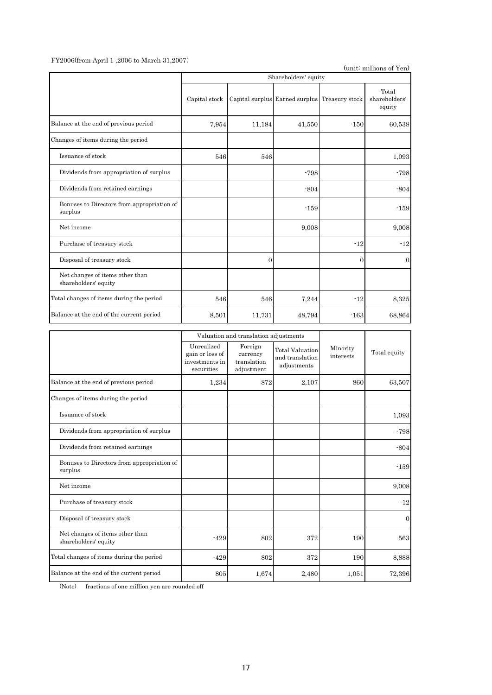#### FY2006(from April 1 ,2006 to March 31,2007)

(unit: millions of Yen)

|                                                         |               |          | Shareholders' equity                          |                |                                  |
|---------------------------------------------------------|---------------|----------|-----------------------------------------------|----------------|----------------------------------|
|                                                         | Capital stock |          | Capital surplus Earned surplus Treasury stock |                | Total<br>shareholders'<br>equity |
| Balance at the end of previous period                   | 7,954         | 11,184   | 41,550                                        | $-150$         | 60,538                           |
| Changes of items during the period                      |               |          |                                               |                |                                  |
| Issuance of stock                                       | 546           | 546      |                                               |                | 1,093                            |
| Dividends from appropriation of surplus                 |               |          | $-798$                                        |                | $-798$                           |
| Dividends from retained earnings                        |               |          | $-804$                                        |                | $-804$                           |
| Bonuses to Directors from appropriation of<br>surplus   |               |          | $-159$                                        |                | $-159$                           |
| Net income                                              |               |          | 9,008                                         |                | 9,008                            |
| Purchase of treasury stock                              |               |          |                                               | $-12$          | $-12$                            |
| Disposal of treasury stock                              |               | $\Omega$ |                                               | $\overline{0}$ | $\overline{0}$                   |
| Net changes of items other than<br>shareholders' equity |               |          |                                               |                |                                  |
| Total changes of items during the period                | 546           | 546      | 7,244                                         | $-12$          | 8,325                            |
| Balance at the end of the current period                | 8,501         | 11,731   | 48,794                                        | $-163$         | 68,864                           |

|                                                         |                                                               | Valuation and translation adjustments            |                                                          |                       |                |
|---------------------------------------------------------|---------------------------------------------------------------|--------------------------------------------------|----------------------------------------------------------|-----------------------|----------------|
|                                                         | Unrealized<br>gain or loss of<br>investments in<br>securities | Foreign<br>currency<br>translation<br>adjustment | <b>Total Valuation</b><br>and translation<br>adjustments | Minority<br>interests | Total equity   |
| Balance at the end of previous period                   | 1,234                                                         | 872                                              | 2,107                                                    | 860                   | 63,507         |
| Changes of items during the period                      |                                                               |                                                  |                                                          |                       |                |
| Issuance of stock                                       |                                                               |                                                  |                                                          |                       | 1,093          |
| Dividends from appropriation of surplus                 |                                                               |                                                  |                                                          |                       | $-798$         |
| Dividends from retained earnings                        |                                                               |                                                  |                                                          |                       | $-804$         |
| Bonuses to Directors from appropriation of<br>surplus   |                                                               |                                                  |                                                          |                       | $-159$         |
| Net income                                              |                                                               |                                                  |                                                          |                       | 9,008          |
| Purchase of treasury stock                              |                                                               |                                                  |                                                          |                       | $-12$          |
| Disposal of treasury stock                              |                                                               |                                                  |                                                          |                       | $\overline{0}$ |
| Net changes of items other than<br>shareholders' equity | $-429$                                                        | 802                                              | 372                                                      | 190                   | 563            |
| Total changes of items during the period                | $-429$                                                        | 802                                              | 372                                                      | 190                   | 8,888          |
| Balance at the end of the current period                | 805                                                           | 1,674                                            | 2,480                                                    | 1,051                 | 72,396         |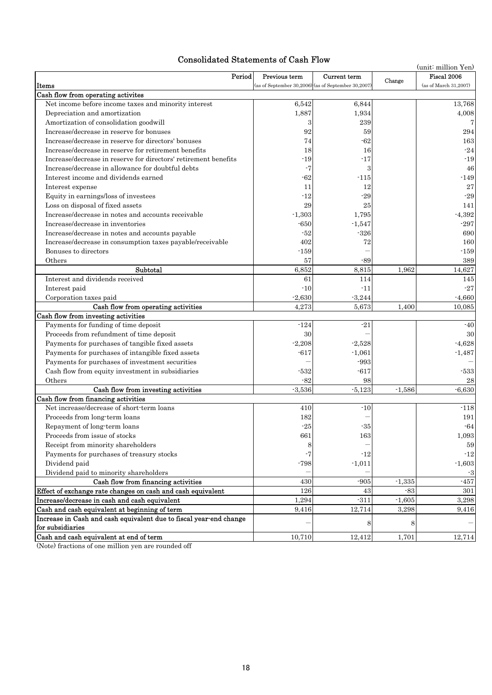# Consolidated Statements of Cash Flow

| consondated Blatements of Cash Tiow<br>(unit: million Yen)                             |                                                       |              |          |                       |  |  |  |  |
|----------------------------------------------------------------------------------------|-------------------------------------------------------|--------------|----------|-----------------------|--|--|--|--|
| Period                                                                                 | Previous term                                         | Current term | Change   | Fiscal 2006           |  |  |  |  |
| Items                                                                                  | (as of September 30, 2006) (as of September 30, 2007) |              |          | (as of March 31,2007) |  |  |  |  |
| Cash flow from operating activites                                                     |                                                       |              |          |                       |  |  |  |  |
| Net income before income taxes and minority interest                                   | 6.542                                                 | 6,844        |          | 13,768                |  |  |  |  |
| Depreciation and amortization                                                          | 1,887                                                 | 1,934        |          | 4,008                 |  |  |  |  |
| Amortization of consolidation goodwill                                                 | 3                                                     | 239          |          | 7                     |  |  |  |  |
| Increase/decrease in reserve for bonuses                                               | 92                                                    | 59           |          | 294                   |  |  |  |  |
| Increase/decrease in reserve for directors' bonuses                                    | 74                                                    | $-62$        |          | 163                   |  |  |  |  |
| Increase/decrease in reserve for retirement benefits                                   | 18                                                    | 16           |          | $-24$                 |  |  |  |  |
| Increase/decrease in reserve for directors' retirement benefits                        | $-19$                                                 | $-17$        |          | $-19$                 |  |  |  |  |
| Increase/decrease in allowance for doubtful debts                                      | -7                                                    | 3            |          | 46                    |  |  |  |  |
| Interest income and dividends earned                                                   | $-62$                                                 | $-115$       |          | $-149$                |  |  |  |  |
| Interest expense                                                                       | 11                                                    | 12           |          | 27                    |  |  |  |  |
| Equity in earnings/loss of investees                                                   | $-12$                                                 | $-29$        |          | $-29$                 |  |  |  |  |
| Loss on disposal of fixed assets                                                       | 29                                                    | 25           |          | 141                   |  |  |  |  |
| Increase/decrease in notes and accounts receivable                                     | $-1,303$                                              | 1,795        |          | $-4,392$              |  |  |  |  |
| Increase/decrease in inventories                                                       | $-650$                                                | $-1,547$     |          | $-297$                |  |  |  |  |
| Increase/decrease in notes and accounts payable                                        | $-52$                                                 | $-326$       |          | 690                   |  |  |  |  |
| Increase/decrease in consumption taxes payable/receivable                              | 402                                                   | 72           |          | 160                   |  |  |  |  |
| Bonuses to directors                                                                   | $-159$                                                |              |          | $-159$                |  |  |  |  |
| Others                                                                                 | 57                                                    | $-89$        |          | 389                   |  |  |  |  |
| Subtotal                                                                               | 6,852                                                 | 8,815        | 1,962    | 14,627                |  |  |  |  |
| Interest and dividends received                                                        | 61                                                    | 114          |          | 145                   |  |  |  |  |
| Interest paid                                                                          | $-10$                                                 | $-11$        |          | $-27$                 |  |  |  |  |
| Corporation taxes paid                                                                 | $-2,630$                                              | $-3,244$     |          | $-4,660$              |  |  |  |  |
| Cash flow from operating activities                                                    | 4,273                                                 | 5,673        | 1,400    | 10,085                |  |  |  |  |
| Cash flow from investing activities                                                    |                                                       |              |          |                       |  |  |  |  |
| Payments for funding of time deposit                                                   | $-124$                                                | $-21$        |          | $-40$                 |  |  |  |  |
| Proceeds from refundment of time deposit                                               | 30                                                    |              |          | 30                    |  |  |  |  |
| Payments for purchases of tangible fixed assets                                        | $-2,208$                                              | $-2,528$     |          | $-4,628$              |  |  |  |  |
| Payments for purchases of intangible fixed assets                                      | $-617$                                                | $-1,061$     |          | $-1,487$              |  |  |  |  |
| Payments for purchases of investment securities                                        |                                                       | $-993$       |          |                       |  |  |  |  |
| Cash flow from equity investment in subsidiaries                                       | $-532$                                                | $-617$       |          | -533                  |  |  |  |  |
| Others                                                                                 | $-82$                                                 | 98           |          | 28                    |  |  |  |  |
| Cash flow from investing activities                                                    | $-3.536$                                              | $-5,123$     | $-1.586$ | $-6,630$              |  |  |  |  |
| Cash flow from financing activities                                                    |                                                       |              |          |                       |  |  |  |  |
| Net increase/decrease of short-term loans                                              | 410                                                   | $-10$        |          | $-118$                |  |  |  |  |
| Proceeds from long-term loans                                                          | 182                                                   |              |          | 191                   |  |  |  |  |
| Repayment of long-term loans                                                           | $\mbox{-} 25$                                         | $-35$        |          | $\mbox{-} 64$         |  |  |  |  |
| Proceeds from issue of stocks                                                          | 661                                                   | 163          |          | 1,093                 |  |  |  |  |
| Receipt from minority shareholders                                                     | 8                                                     |              |          | 59                    |  |  |  |  |
| Payments for purchases of treasury stocks                                              | -7                                                    | $-12$        |          | $-12$                 |  |  |  |  |
| Dividend paid                                                                          | $-798$                                                | $-1,011$     |          | $-1,603$              |  |  |  |  |
| Dividend paid to minority shareholders                                                 |                                                       |              |          | -3                    |  |  |  |  |
| Cash flow from financing activities                                                    | 430                                                   | $-905$       | $-1,335$ | $-457$                |  |  |  |  |
| Effect of exchange rate changes on cash and cash equivalent                            | 126                                                   | 43           | $-83$    | 301                   |  |  |  |  |
| Increase/decrease in cash and cash equivalent                                          | 1,294                                                 | $-311$       | $-1,605$ | 3,298                 |  |  |  |  |
| Cash and cash equivalent at beginning of term                                          | 9,416                                                 | 12,714       | 3,298    | 9,416                 |  |  |  |  |
| Increase in Cash and cash equivalent due to fiscal year-end change<br>for subsidiaries |                                                       | 8            | 8        |                       |  |  |  |  |
| Cash and cash equivalent at end of term                                                |                                                       |              |          |                       |  |  |  |  |
|                                                                                        | 10,710                                                | 12,412       | 1,701    | 12,714                |  |  |  |  |